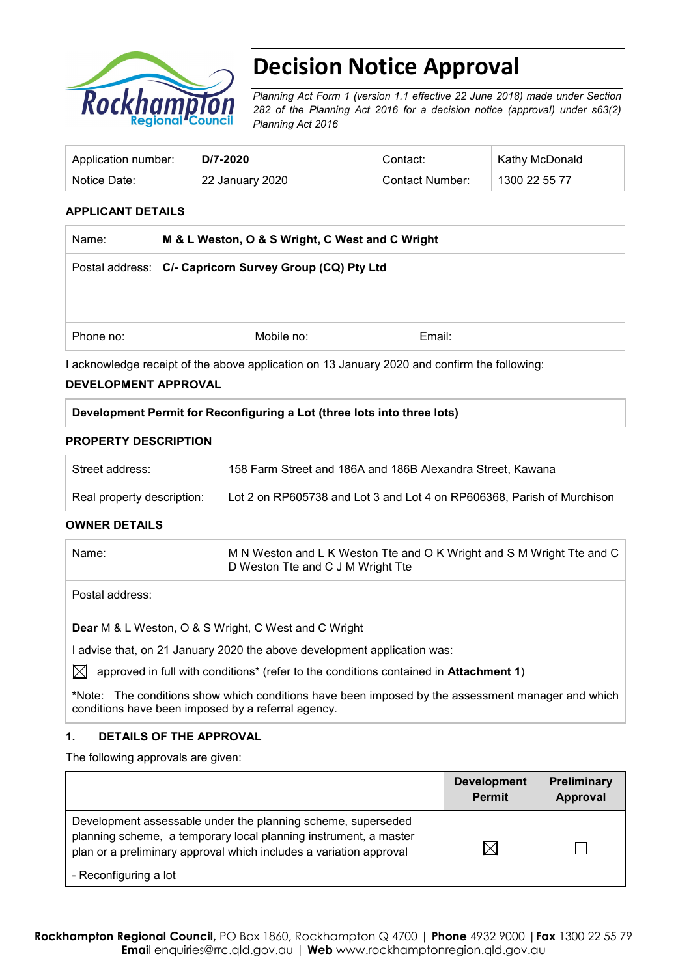

# **Decision Notice Approval**

*Planning Act Form 1 (version 1.1 effective 22 June 2018) made under Section 282 of the Planning Act 2016 for a decision notice (approval) under s63(2) Planning Act 2016*

| Application number: | D/7-2020        | Contact:        | Kathy McDonald |
|---------------------|-----------------|-----------------|----------------|
| Notice Date:        | 22 January 2020 | Contact Number: | 1300 22 55 77  |

## **APPLICANT DETAILS**

| Name:                                                                                        | M & L Weston, O & S Wright, C West and C Wright         |        |  |
|----------------------------------------------------------------------------------------------|---------------------------------------------------------|--------|--|
|                                                                                              | Postal address: C/- Capricorn Survey Group (CQ) Pty Ltd |        |  |
|                                                                                              |                                                         |        |  |
|                                                                                              |                                                         |        |  |
| Phone no:                                                                                    | Mobile no:                                              | Email: |  |
| I acknowledge receipt of the above application on 13 January 2020 and confirm the following: |                                                         |        |  |

#### **DEVELOPMENT APPROVAL**

#### **Development Permit for Reconfiguring a Lot (three lots into three lots)**

#### **PROPERTY DESCRIPTION**

| Street address:            | 158 Farm Street and 186A and 186B Alexandra Street, Kawana             |
|----------------------------|------------------------------------------------------------------------|
| Real property description: | Lot 2 on RP605738 and Lot 3 and Lot 4 on RP606368, Parish of Murchison |

#### **OWNER DETAILS**

Postal address:

**Dear** M & L Weston, O & S Wright, C West and C Wright

I advise that, on 21 January 2020 the above development application was:

 $\boxtimes$  approved in full with conditions<sup>\*</sup> (refer to the conditions contained in **Attachment 1**)

**\***Note:The conditions show which conditions have been imposed by the assessment manager and which conditions have been imposed by a referral agency.

#### **1. DETAILS OF THE APPROVAL**

The following approvals are given:

|                                                                                                                                                                                                        | <b>Development</b><br><b>Permit</b> | Preliminary<br><b>Approval</b> |
|--------------------------------------------------------------------------------------------------------------------------------------------------------------------------------------------------------|-------------------------------------|--------------------------------|
| Development assessable under the planning scheme, superseded<br>planning scheme, a temporary local planning instrument, a master<br>plan or a preliminary approval which includes a variation approval | $\boxtimes$                         |                                |
| - Reconfiguring a lot                                                                                                                                                                                  |                                     |                                |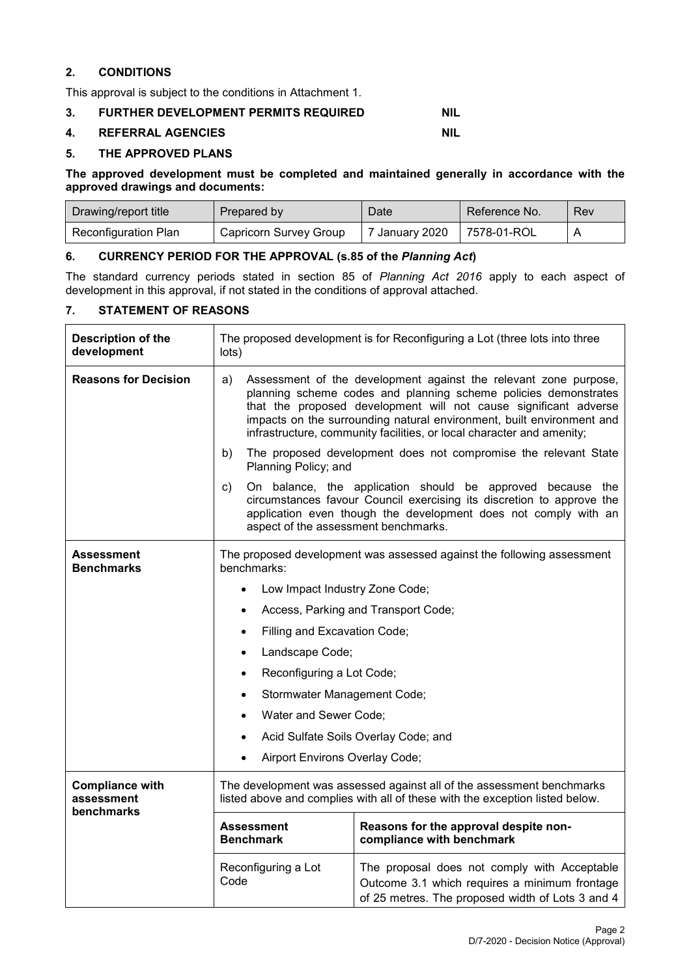#### **2. CONDITIONS**

This approval is subject to the conditions in Attachment 1.

#### **3. FURTHER DEVELOPMENT PERMITS REQUIRED NIL**

#### **4. REFERRAL AGENCIES NIL**

#### **5. THE APPROVED PLANS**

**The approved development must be completed and maintained generally in accordance with the approved drawings and documents:**

| Drawing/report title        | Prepared by            | Date                       | Reference No. | Rev |
|-----------------------------|------------------------|----------------------------|---------------|-----|
| <b>Reconfiguration Plan</b> | Capricorn Survey Group | 7 January 2020 7578-01-ROL |               |     |

#### **6. CURRENCY PERIOD FOR THE APPROVAL (s.85 of the** *Planning Act***)**

The standard currency periods stated in section 85 of *Planning Act 2016* apply to each aspect of development in this approval, if not stated in the conditions of approval attached.

#### **7. STATEMENT OF REASONS**

| <b>Description of the</b><br>development           | The proposed development is for Reconfiguring a Lot (three lots into three<br>lots)                                                                                                                                                                                                                                                                             |                                                                                                                                                                                                        |  |  |
|----------------------------------------------------|-----------------------------------------------------------------------------------------------------------------------------------------------------------------------------------------------------------------------------------------------------------------------------------------------------------------------------------------------------------------|--------------------------------------------------------------------------------------------------------------------------------------------------------------------------------------------------------|--|--|
| <b>Reasons for Decision</b>                        | Assessment of the development against the relevant zone purpose,<br>a)<br>planning scheme codes and planning scheme policies demonstrates<br>that the proposed development will not cause significant adverse<br>impacts on the surrounding natural environment, built environment and<br>infrastructure, community facilities, or local character and amenity; |                                                                                                                                                                                                        |  |  |
|                                                    | b)<br>Planning Policy; and                                                                                                                                                                                                                                                                                                                                      | The proposed development does not compromise the relevant State                                                                                                                                        |  |  |
|                                                    | C)<br>aspect of the assessment benchmarks.                                                                                                                                                                                                                                                                                                                      | On balance, the application should be approved because the<br>circumstances favour Council exercising its discretion to approve the<br>application even though the development does not comply with an |  |  |
| Assessment<br><b>Benchmarks</b>                    | The proposed development was assessed against the following assessment<br>benchmarks:                                                                                                                                                                                                                                                                           |                                                                                                                                                                                                        |  |  |
|                                                    | Low Impact Industry Zone Code;                                                                                                                                                                                                                                                                                                                                  |                                                                                                                                                                                                        |  |  |
|                                                    |                                                                                                                                                                                                                                                                                                                                                                 | Access, Parking and Transport Code;                                                                                                                                                                    |  |  |
|                                                    | Filling and Excavation Code;                                                                                                                                                                                                                                                                                                                                    |                                                                                                                                                                                                        |  |  |
|                                                    | Landscape Code;                                                                                                                                                                                                                                                                                                                                                 |                                                                                                                                                                                                        |  |  |
|                                                    | Reconfiguring a Lot Code;<br>$\bullet$                                                                                                                                                                                                                                                                                                                          |                                                                                                                                                                                                        |  |  |
|                                                    | Stormwater Management Code;<br>$\bullet$                                                                                                                                                                                                                                                                                                                        |                                                                                                                                                                                                        |  |  |
|                                                    | Water and Sewer Code;                                                                                                                                                                                                                                                                                                                                           |                                                                                                                                                                                                        |  |  |
|                                                    |                                                                                                                                                                                                                                                                                                                                                                 | Acid Sulfate Soils Overlay Code; and                                                                                                                                                                   |  |  |
|                                                    | Airport Environs Overlay Code;                                                                                                                                                                                                                                                                                                                                  |                                                                                                                                                                                                        |  |  |
| <b>Compliance with</b><br>assessment<br>benchmarks | The development was assessed against all of the assessment benchmarks<br>listed above and complies with all of these with the exception listed below.                                                                                                                                                                                                           |                                                                                                                                                                                                        |  |  |
|                                                    | <b>Assessment</b><br>Reasons for the approval despite non-<br>compliance with benchmark<br><b>Benchmark</b>                                                                                                                                                                                                                                                     |                                                                                                                                                                                                        |  |  |
|                                                    | Reconfiguring a Lot<br>Code                                                                                                                                                                                                                                                                                                                                     | The proposal does not comply with Acceptable<br>Outcome 3.1 which requires a minimum frontage<br>of 25 metres. The proposed width of Lots 3 and 4                                                      |  |  |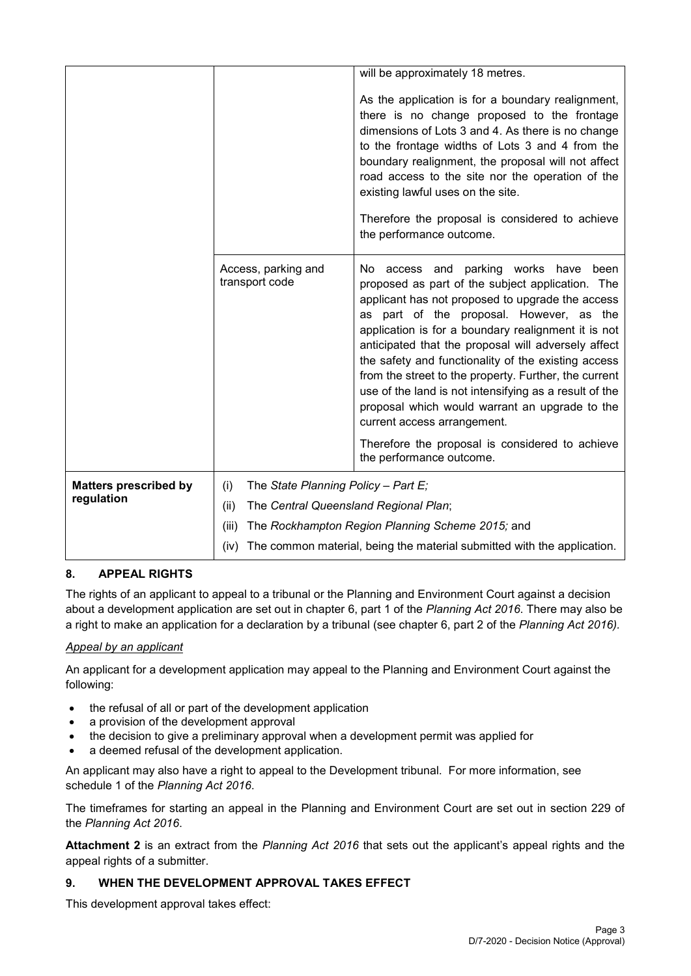|                              |                                               | will be approximately 18 metres.                                                                                                                                                                                                                                                                                                                                                                                                                                                                                                                                         |  |  |
|------------------------------|-----------------------------------------------|--------------------------------------------------------------------------------------------------------------------------------------------------------------------------------------------------------------------------------------------------------------------------------------------------------------------------------------------------------------------------------------------------------------------------------------------------------------------------------------------------------------------------------------------------------------------------|--|--|
|                              |                                               | As the application is for a boundary realignment,<br>there is no change proposed to the frontage<br>dimensions of Lots 3 and 4. As there is no change<br>to the frontage widths of Lots 3 and 4 from the<br>boundary realignment, the proposal will not affect<br>road access to the site nor the operation of the<br>existing lawful uses on the site.<br>Therefore the proposal is considered to achieve<br>the performance outcome.                                                                                                                                   |  |  |
|                              | Access, parking and<br>transport code         | parking works have<br>No access and<br>been<br>proposed as part of the subject application. The<br>applicant has not proposed to upgrade the access<br>as part of the proposal. However, as the<br>application is for a boundary realignment it is not<br>anticipated that the proposal will adversely affect<br>the safety and functionality of the existing access<br>from the street to the property. Further, the current<br>use of the land is not intensifying as a result of the<br>proposal which would warrant an upgrade to the<br>current access arrangement. |  |  |
|                              |                                               | Therefore the proposal is considered to achieve<br>the performance outcome.                                                                                                                                                                                                                                                                                                                                                                                                                                                                                              |  |  |
| <b>Matters prescribed by</b> | The State Planning Policy - Part E;<br>(i)    |                                                                                                                                                                                                                                                                                                                                                                                                                                                                                                                                                                          |  |  |
| regulation                   | (ii)<br>The Central Queensland Regional Plan; |                                                                                                                                                                                                                                                                                                                                                                                                                                                                                                                                                                          |  |  |
|                              | (iii)                                         | The Rockhampton Region Planning Scheme 2015; and                                                                                                                                                                                                                                                                                                                                                                                                                                                                                                                         |  |  |
|                              | (iv)                                          | The common material, being the material submitted with the application.                                                                                                                                                                                                                                                                                                                                                                                                                                                                                                  |  |  |

## **8. APPEAL RIGHTS**

The rights of an applicant to appeal to a tribunal or the Planning and Environment Court against a decision about a development application are set out in chapter 6, part 1 of the *Planning Act 2016*. There may also be a right to make an application for a declaration by a tribunal (see chapter 6, part 2 of the *Planning Act 2016).*

## *Appeal by an applicant*

An applicant for a development application may appeal to the Planning and Environment Court against the following:

- the refusal of all or part of the development application
- a provision of the development approval
- the decision to give a preliminary approval when a development permit was applied for
- a deemed refusal of the development application.

An applicant may also have a right to appeal to the Development tribunal. For more information, see schedule 1 of the *Planning Act 2016*.

The timeframes for starting an appeal in the Planning and Environment Court are set out in section 229 of the *Planning Act 2016*.

**Attachment 2** is an extract from the *Planning Act 2016* that sets out the applicant's appeal rights and the appeal rights of a submitter.

## **9. WHEN THE DEVELOPMENT APPROVAL TAKES EFFECT**

This development approval takes effect: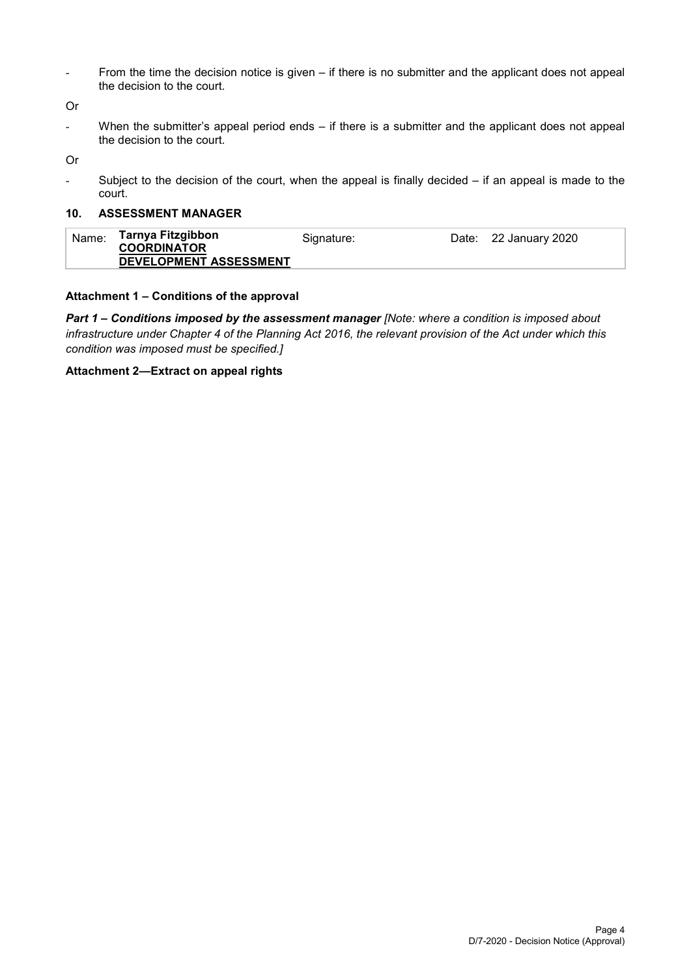- From the time the decision notice is given – if there is no submitter and the applicant does not appeal the decision to the court.

Or

When the submitter's appeal period ends – if there is a submitter and the applicant does not appeal the decision to the court.

Or

- Subject to the decision of the court, when the appeal is finally decided – if an appeal is made to the court.

#### **10. ASSESSMENT MANAGER**

| Name: | Tarnya Fitzgibbon<br><b>COORDINATOR</b> | Signature: | Date: 22 January 2020 |
|-------|-----------------------------------------|------------|-----------------------|
|       | DEVELOPMENT ASSESSMENT                  |            |                       |

#### **Attachment 1 – Conditions of the approval**

*Part 1* **–** *Conditions imposed by the assessment manager [Note: where a condition is imposed about infrastructure under Chapter 4 of the Planning Act 2016, the relevant provision of the Act under which this condition was imposed must be specified.]*

#### **Attachment 2—Extract on appeal rights**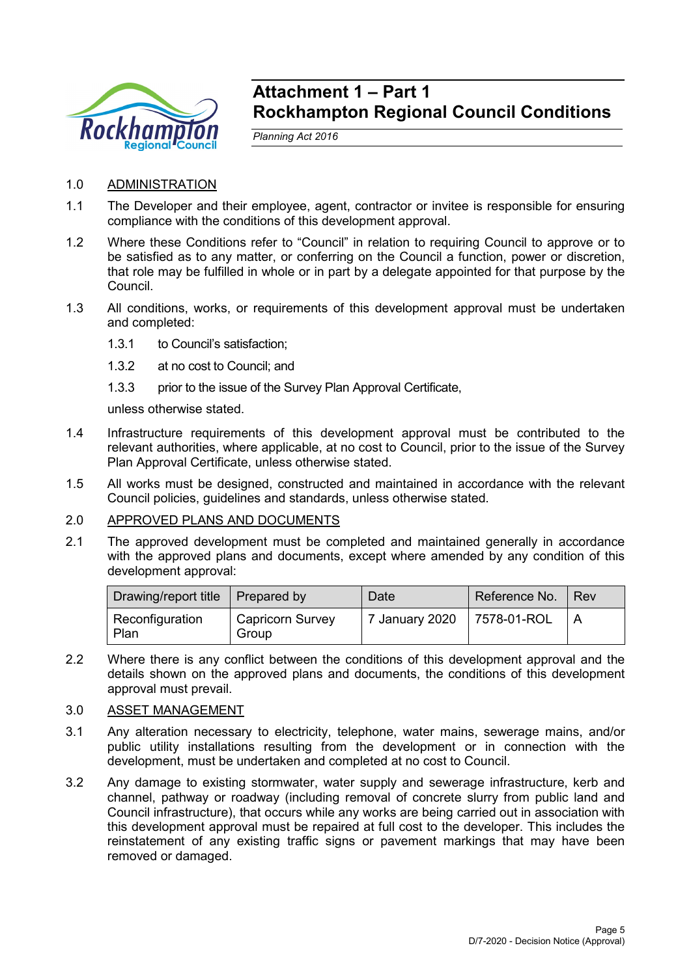

## **Attachment 1 – Part 1 Rockhampton Regional Council Conditions**

*Planning Act 2016*

- 1.0 ADMINISTRATION
- 1.1 The Developer and their employee, agent, contractor or invitee is responsible for ensuring compliance with the conditions of this development approval.
- 1.2 Where these Conditions refer to "Council" in relation to requiring Council to approve or to be satisfied as to any matter, or conferring on the Council a function, power or discretion, that role may be fulfilled in whole or in part by a delegate appointed for that purpose by the Council.
- 1.3 All conditions, works, or requirements of this development approval must be undertaken and completed:
	- 1.3.1 to Council's satisfaction;
	- 1.3.2 at no cost to Council; and
	- 1.3.3 prior to the issue of the Survey Plan Approval Certificate,

unless otherwise stated.

- 1.4 Infrastructure requirements of this development approval must be contributed to the relevant authorities, where applicable, at no cost to Council, prior to the issue of the Survey Plan Approval Certificate, unless otherwise stated.
- 1.5 All works must be designed, constructed and maintained in accordance with the relevant Council policies, guidelines and standards, unless otherwise stated.

## 2.0 APPROVED PLANS AND DOCUMENTS

2.1 The approved development must be completed and maintained generally in accordance with the approved plans and documents, except where amended by any condition of this development approval:

| Drawing/report title   Prepared by |                                  | Date                         | Reference No. | Rev            |
|------------------------------------|----------------------------------|------------------------------|---------------|----------------|
| Reconfiguration<br>Plan            | <b>Capricorn Survey</b><br>Group | 7 January 2020   7578-01-ROL |               | $\overline{A}$ |

2.2 Where there is any conflict between the conditions of this development approval and the details shown on the approved plans and documents, the conditions of this development approval must prevail.

#### 3.0 ASSET MANAGEMENT

- 3.1 Any alteration necessary to electricity, telephone, water mains, sewerage mains, and/or public utility installations resulting from the development or in connection with the development, must be undertaken and completed at no cost to Council.
- 3.2 Any damage to existing stormwater, water supply and sewerage infrastructure, kerb and channel, pathway or roadway (including removal of concrete slurry from public land and Council infrastructure), that occurs while any works are being carried out in association with this development approval must be repaired at full cost to the developer. This includes the reinstatement of any existing traffic signs or pavement markings that may have been removed or damaged.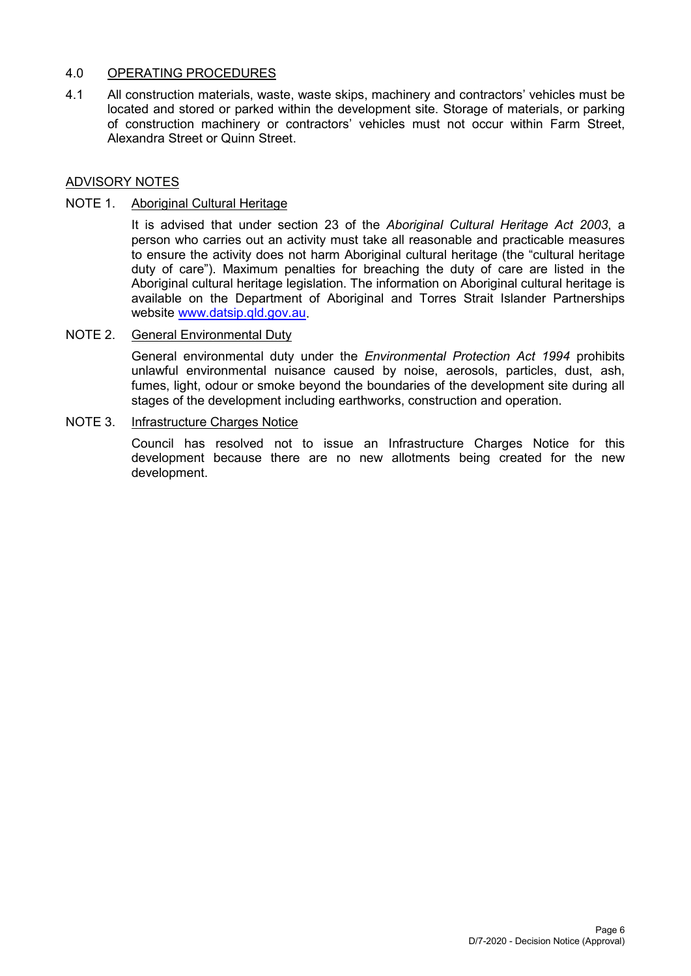## 4.0 OPERATING PROCEDURES

4.1 All construction materials, waste, waste skips, machinery and contractors' vehicles must be located and stored or parked within the development site. Storage of materials, or parking of construction machinery or contractors' vehicles must not occur within Farm Street, Alexandra Street or Quinn Street.

#### ADVISORY NOTES

#### NOTE 1. Aboriginal Cultural Heritage

It is advised that under section 23 of the *Aboriginal Cultural Heritage Act 2003*, a person who carries out an activity must take all reasonable and practicable measures to ensure the activity does not harm Aboriginal cultural heritage (the "cultural heritage duty of care"). Maximum penalties for breaching the duty of care are listed in the Aboriginal cultural heritage legislation. The information on Aboriginal cultural heritage is available on the Department of Aboriginal and Torres Strait Islander Partnerships website [www.datsip.qld.gov.au.](http://www.datsip.qld.gov.au/)

#### NOTE 2. General Environmental Duty

General environmental duty under the *Environmental Protection Act 1994* prohibits unlawful environmental nuisance caused by noise, aerosols, particles, dust, ash, fumes, light, odour or smoke beyond the boundaries of the development site during all stages of the development including earthworks, construction and operation.

#### NOTE 3. Infrastructure Charges Notice

Council has resolved not to issue an Infrastructure Charges Notice for this development because there are no new allotments being created for the new development.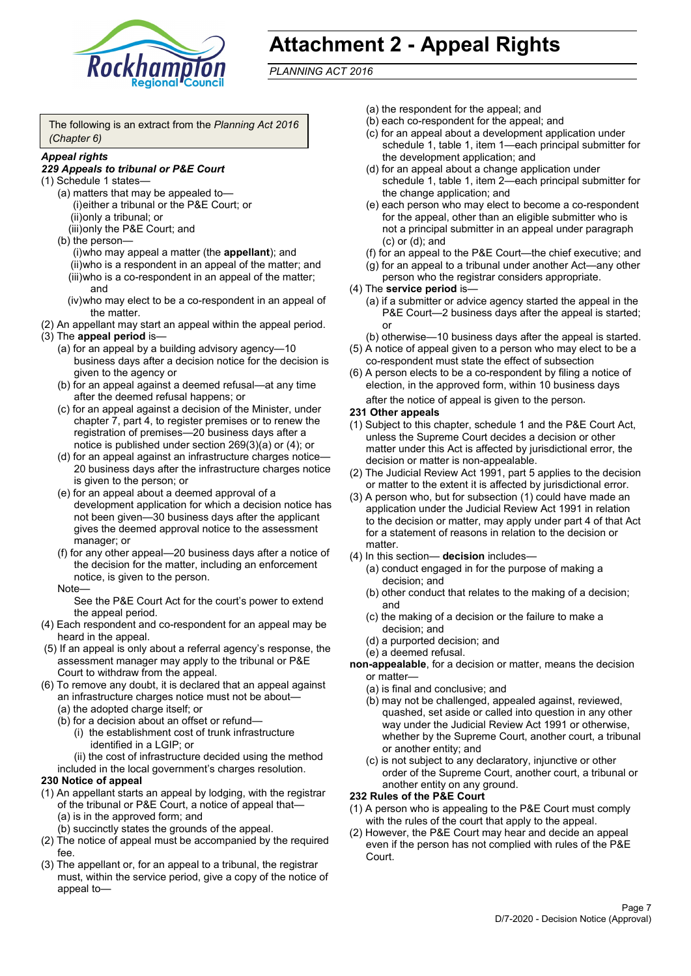

## **Attachment 2 - Appeal Rights**

*PLANNING ACT 2016*

The following is an extract from the *Planning Act 2016 (Chapter 6)*

#### *Appeal rights*

#### *229 Appeals to tribunal or P&E Court*

- (1) Schedule 1 states—
	- (a) matters that may be appealed to— (i)either a tribunal or the P&E Court; or (ii)only a tribunal; or (iii)only the P&E Court; and
	- (b) the person—

(i)who may appeal a matter (the **appellant**); and (ii)who is a respondent in an appeal of the matter; and (iii)who is a co-respondent in an appeal of the matter; and

- (iv)who may elect to be a co-respondent in an appeal of the matter.
- (2) An appellant may start an appeal within the appeal period.
- (3) The **appeal period** is—
	- (a) for an appeal by a building advisory agency—10 business days after a decision notice for the decision is given to the agency or
	- (b) for an appeal against a deemed refusal—at any time after the deemed refusal happens; or
	- (c) for an appeal against a decision of the Minister, under chapter 7, part 4, to register premises or to renew the registration of premises—20 business days after a notice is published under section 269(3)(a) or (4); or
	- (d) for an appeal against an infrastructure charges notice— 20 business days after the infrastructure charges notice is given to the person; or
	- (e) for an appeal about a deemed approval of a development application for which a decision notice has not been given—30 business days after the applicant gives the deemed approval notice to the assessment manager; or
	- (f) for any other appeal—20 business days after a notice of the decision for the matter, including an enforcement notice, is given to the person.

#### Note—

See the P&E Court Act for the court's power to extend the appeal period.

- (4) Each respondent and co-respondent for an appeal may be heard in the appeal.
- (5) If an appeal is only about a referral agency's response, the assessment manager may apply to the tribunal or P&E Court to withdraw from the appeal.
- (6) To remove any doubt, it is declared that an appeal against an infrastructure charges notice must not be about—
	- (a) the adopted charge itself; or
	- (b) for a decision about an offset or refund—
		- (i) the establishment cost of trunk infrastructure identified in a LGIP; or

(ii) the cost of infrastructure decided using the method

included in the local government's charges resolution.

#### **230 Notice of appeal**

- (1) An appellant starts an appeal by lodging, with the registrar of the tribunal or P&E Court, a notice of appeal that—
	- (a) is in the approved form; and
	- (b) succinctly states the grounds of the appeal.
- (2) The notice of appeal must be accompanied by the required fee.
- (3) The appellant or, for an appeal to a tribunal, the registrar must, within the service period, give a copy of the notice of appeal to—
- (a) the respondent for the appeal; and
- (b) each co-respondent for the appeal; and
- (c) for an appeal about a development application under schedule 1, table 1, item 1—each principal submitter for the development application; and
- (d) for an appeal about a change application under schedule 1, table 1, item 2—each principal submitter for the change application; and
- (e) each person who may elect to become a co-respondent for the appeal, other than an eligible submitter who is not a principal submitter in an appeal under paragraph (c) or (d); and
- (f) for an appeal to the P&E Court—the chief executive; and
- (g) for an appeal to a tribunal under another Act—any other person who the registrar considers appropriate.
- (4) The **service period** is—
	- (a) if a submitter or advice agency started the appeal in the P&E Court—2 business days after the appeal is started; or
	- (b) otherwise—10 business days after the appeal is started.
- (5) A notice of appeal given to a person who may elect to be a co-respondent must state the effect of subsection
- (6) A person elects to be a co-respondent by filing a notice of election, in the approved form, within 10 business days after the notice of appeal is given to the person*.*
- **231 Other appeals**
- (1) Subject to this chapter, schedule 1 and the P&E Court Act, unless the Supreme Court decides a decision or other matter under this Act is affected by jurisdictional error, the decision or matter is non-appealable.
- (2) The Judicial Review Act 1991, part 5 applies to the decision or matter to the extent it is affected by jurisdictional error.
- (3) A person who, but for subsection (1) could have made an application under the Judicial Review Act 1991 in relation to the decision or matter, may apply under part 4 of that Act for a statement of reasons in relation to the decision or matter.
- (4) In this section— **decision** includes—
	- (a) conduct engaged in for the purpose of making a decision; and
	- (b) other conduct that relates to the making of a decision; and
	- (c) the making of a decision or the failure to make a decision; and
	- (d) a purported decision; and
	- (e) a deemed refusal.

**non-appealable**, for a decision or matter, means the decision or matter—

- (a) is final and conclusive; and
- (b) may not be challenged, appealed against, reviewed, quashed, set aside or called into question in any other way under the Judicial Review Act 1991 or otherwise, whether by the Supreme Court, another court, a tribunal or another entity; and
- (c) is not subject to any declaratory, injunctive or other order of the Supreme Court, another court, a tribunal or another entity on any ground.

#### **232 Rules of the P&E Court**

- (1) A person who is appealing to the P&E Court must comply with the rules of the court that apply to the appeal.
- (2) However, the P&E Court may hear and decide an appeal even if the person has not complied with rules of the P&E Court.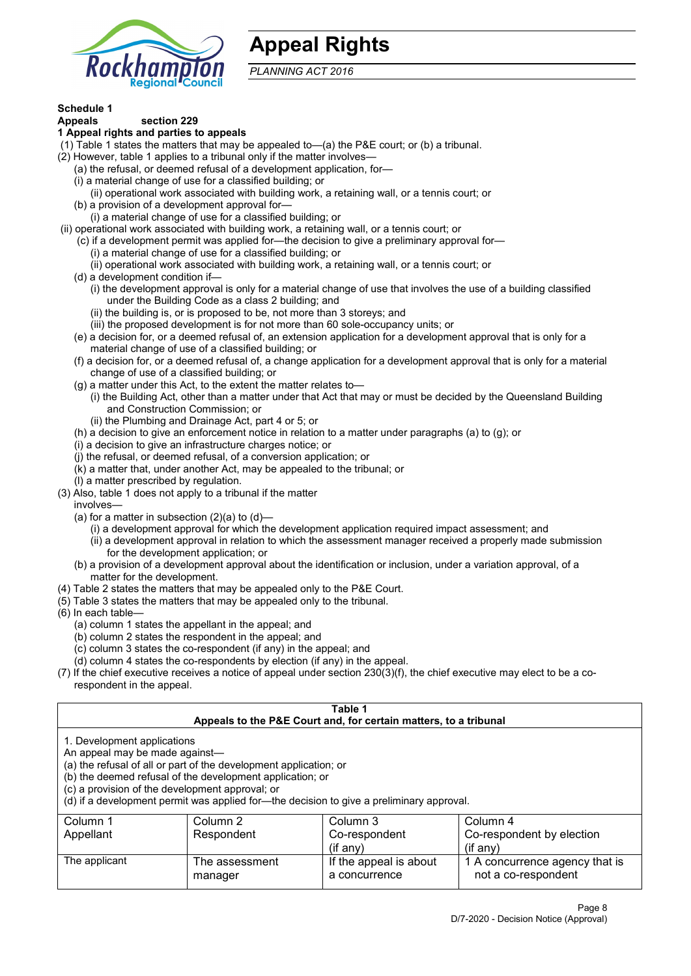

## **Appeal Rights**

*PLANNING ACT 2016*

## **Schedule 1**

#### **Appeals section 229 1 Appeal rights and parties to appeals**

- (1) Table 1 states the matters that may be appealed to—(a) the P&E court; or (b) a tribunal.
- (2) However, table 1 applies to a tribunal only if the matter involves—
	- (a) the refusal, or deemed refusal of a development application, for—
	- (i) a material change of use for a classified building; or
	- (ii) operational work associated with building work, a retaining wall, or a tennis court; or
	- (b) a provision of a development approval for—
	- (i) a material change of use for a classified building; or
- (ii) operational work associated with building work, a retaining wall, or a tennis court; or
	- (c) if a development permit was applied for—the decision to give a preliminary approval for—
		- (i) a material change of use for a classified building; or
		- (ii) operational work associated with building work, a retaining wall, or a tennis court; or
	- (d) a development condition if—
		- (i) the development approval is only for a material change of use that involves the use of a building classified under the Building Code as a class 2 building; and
		- (ii) the building is, or is proposed to be, not more than 3 storeys; and
		- (iii) the proposed development is for not more than 60 sole-occupancy units; or
	- (e) a decision for, or a deemed refusal of, an extension application for a development approval that is only for a material change of use of a classified building; or
	- (f) a decision for, or a deemed refusal of, a change application for a development approval that is only for a material change of use of a classified building; or
	- (g) a matter under this Act, to the extent the matter relates to—
		- (i) the Building Act, other than a matter under that Act that may or must be decided by the Queensland Building and Construction Commission; or
		- (ii) the Plumbing and Drainage Act, part 4 or 5; or
	- (h) a decision to give an enforcement notice in relation to a matter under paragraphs (a) to (g); or
	- (i) a decision to give an infrastructure charges notice; or
	- (j) the refusal, or deemed refusal, of a conversion application; or
	- (k) a matter that, under another Act, may be appealed to the tribunal; or
	- (l) a matter prescribed by regulation.
- (3) Also, table 1 does not apply to a tribunal if the matter

involves—

- (a) for a matter in subsection  $(2)(a)$  to  $(d)$ 
	- (i) a development approval for which the development application required impact assessment; and
	- (ii) a development approval in relation to which the assessment manager received a properly made submission for the development application; or
- (b) a provision of a development approval about the identification or inclusion, under a variation approval, of a matter for the development.
- (4) Table 2 states the matters that may be appealed only to the P&E Court.
- (5) Table 3 states the matters that may be appealed only to the tribunal.
- (6) In each table—
	- (a) column 1 states the appellant in the appeal; and
	- (b) column 2 states the respondent in the appeal; and
	- (c) column 3 states the co-respondent (if any) in the appeal; and
	- (d) column 4 states the co-respondents by election (if any) in the appeal.
- (7) If the chief executive receives a notice of appeal under section 230(3)(f), the chief executive may elect to be a corespondent in the appeal.

| Table 1                                                                                                                                                                                                                                                                                                                                        |                                  |                                                                  |                                                       |  |  |
|------------------------------------------------------------------------------------------------------------------------------------------------------------------------------------------------------------------------------------------------------------------------------------------------------------------------------------------------|----------------------------------|------------------------------------------------------------------|-------------------------------------------------------|--|--|
|                                                                                                                                                                                                                                                                                                                                                |                                  | Appeals to the P&E Court and, for certain matters, to a tribunal |                                                       |  |  |
| 1. Development applications<br>An appeal may be made against-<br>(a) the refusal of all or part of the development application; or<br>(b) the deemed refusal of the development application; or<br>(c) a provision of the development approval; or<br>(d) if a development permit was applied for—the decision to give a preliminary approval. |                                  |                                                                  |                                                       |  |  |
| Column 1                                                                                                                                                                                                                                                                                                                                       | Column 2<br>Column 3<br>Column 4 |                                                                  |                                                       |  |  |
| Co-respondent by election<br>Appellant<br>Respondent<br>Co-respondent<br>$(if$ any)<br>$($ if any $)$                                                                                                                                                                                                                                          |                                  |                                                                  |                                                       |  |  |
| The applicant                                                                                                                                                                                                                                                                                                                                  | The assessment<br>manager        | If the appeal is about<br>a concurrence                          | 1 A concurrence agency that is<br>not a co-respondent |  |  |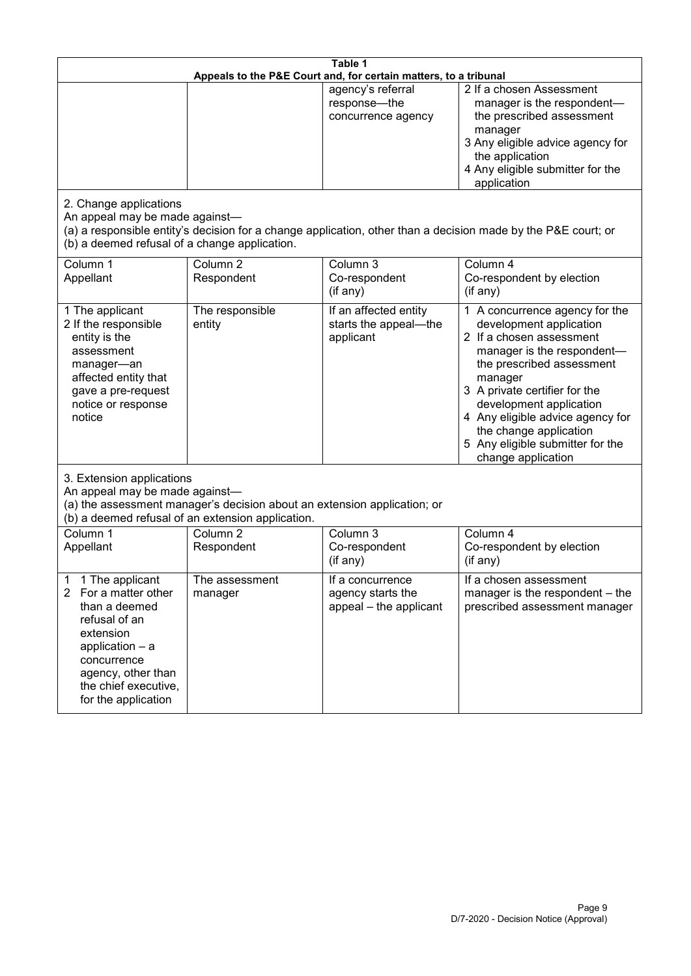| Table 1<br>Appeals to the P&E Court and, for certain matters, to a tribunal                                                                                                                           |                                                                                                                               |                                                                 |                                                                                                                                                                                                                                                                                                                                                 |  |
|-------------------------------------------------------------------------------------------------------------------------------------------------------------------------------------------------------|-------------------------------------------------------------------------------------------------------------------------------|-----------------------------------------------------------------|-------------------------------------------------------------------------------------------------------------------------------------------------------------------------------------------------------------------------------------------------------------------------------------------------------------------------------------------------|--|
|                                                                                                                                                                                                       |                                                                                                                               | agency's referral<br>response-the<br>concurrence agency         | 2 If a chosen Assessment<br>manager is the respondent-<br>the prescribed assessment<br>manager<br>3 Any eligible advice agency for<br>the application<br>4 Any eligible submitter for the<br>application                                                                                                                                        |  |
| 2. Change applications<br>An appeal may be made against-<br>(b) a deemed refusal of a change application.                                                                                             |                                                                                                                               |                                                                 | (a) a responsible entity's decision for a change application, other than a decision made by the P&E court; or                                                                                                                                                                                                                                   |  |
| Column 1<br>Appellant                                                                                                                                                                                 | Column <sub>2</sub><br>Respondent                                                                                             | Column 3<br>Co-respondent<br>(if any)                           | Column 4<br>Co-respondent by election<br>(if any)                                                                                                                                                                                                                                                                                               |  |
| 1 The applicant<br>2 If the responsible<br>entity is the<br>assessment<br>manager-an<br>affected entity that<br>gave a pre-request<br>notice or response<br>notice                                    | The responsible<br>entity                                                                                                     | If an affected entity<br>starts the appeal-the<br>applicant     | 1 A concurrence agency for the<br>development application<br>2 If a chosen assessment<br>manager is the respondent-<br>the prescribed assessment<br>manager<br>3 A private certifier for the<br>development application<br>4 Any eligible advice agency for<br>the change application<br>5 Any eligible submitter for the<br>change application |  |
| 3. Extension applications<br>An appeal may be made against-                                                                                                                                           | (a) the assessment manager's decision about an extension application; or<br>(b) a deemed refusal of an extension application. |                                                                 |                                                                                                                                                                                                                                                                                                                                                 |  |
| Column 1<br>Appellant                                                                                                                                                                                 | Column <sub>2</sub><br>Respondent                                                                                             | Column 3<br>Co-respondent<br>(if any)                           | Column 4<br>Co-respondent by election<br>(if any)                                                                                                                                                                                                                                                                                               |  |
| 1 The applicant<br>1<br>2<br>For a matter other<br>than a deemed<br>refusal of an<br>extension<br>application - a<br>concurrence<br>agency, other than<br>the chief executive,<br>for the application | The assessment<br>manager                                                                                                     | If a concurrence<br>agency starts the<br>appeal - the applicant | If a chosen assessment<br>manager is the respondent - the<br>prescribed assessment manager                                                                                                                                                                                                                                                      |  |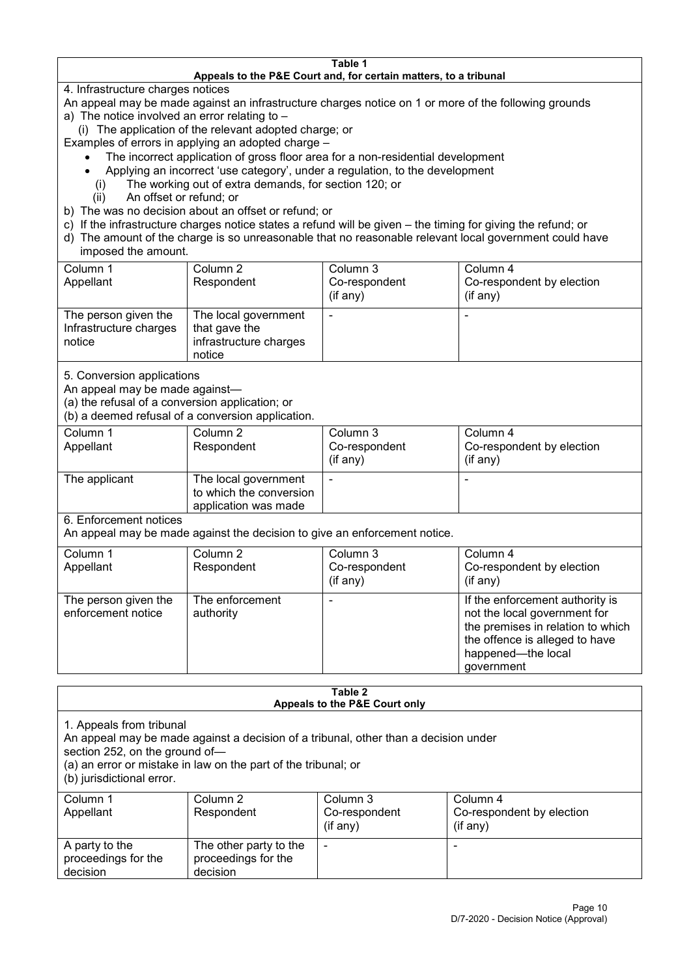#### **Table 1 Appeals to the P&E Court and, for certain matters, to a tribunal**

4. Infrastructure charges notices

- An appeal may be made against an infrastructure charges notice on 1 or more of the following grounds
- a) The notice involved an error relating to
	- (i) The application of the relevant adopted charge; or
- Examples of errors in applying an adopted charge
	- The incorrect application of gross floor area for a non-residential development
	- Applying an incorrect 'use category', under a regulation, to the development
	- (i) The working out of extra demands, for section 120; or
	- (ii) An offset or refund; or
- b) The was no decision about an offset or refund; or
- c) If the infrastructure charges notice states a refund will be given the timing for giving the refund; or
- d) The amount of the charge is so unreasonable that no reasonable relevant local government could have

## imposed the amount.

| Column 1               | Column 2               | Column 3      | Column 4                  |
|------------------------|------------------------|---------------|---------------------------|
| Appellant              | Respondent             | Co-respondent | Co-respondent by election |
|                        |                        | (if any)      | $($ if any $)$            |
| The person given the   | The local government   |               |                           |
| Infrastructure charges | that gave the          |               |                           |
| notice                 | infrastructure charges |               |                           |
|                        | notice                 |               |                           |

5. Conversion applications

An appeal may be made against—

(a) the refusal of a conversion application; or

(b) a deemed refusal of a conversion application.

| Column 1<br>Appellant | Column 2<br>Respondent                                                  | Column 3<br>Co-respondent<br>$($ if any $)$ | Column 4<br>Co-respondent by election<br>$($ if any $)$ |
|-----------------------|-------------------------------------------------------------------------|---------------------------------------------|---------------------------------------------------------|
| The applicant         | The local government<br>to which the conversion<br>application was made |                                             |                                                         |

6. Enforcement notices

An appeal may be made against the decision to give an enforcement notice.

| Column 1                                   | Column 2                     | Column 3      | Column 4                                                                                                                                                                   |
|--------------------------------------------|------------------------------|---------------|----------------------------------------------------------------------------------------------------------------------------------------------------------------------------|
| Appellant                                  | Respondent                   | Co-respondent | Co-respondent by election                                                                                                                                                  |
|                                            |                              | (if any)      | (if any)                                                                                                                                                                   |
| The person given the<br>enforcement notice | The enforcement<br>authority |               | If the enforcement authority is<br>not the local government for<br>the premises in relation to which<br>the offence is alleged to have<br>happened-the local<br>government |

#### **Table 2 Appeals to the P&E Court only**

1. Appeals from tribunal

An appeal may be made against a decision of a tribunal, other than a decision under

section 252, on the ground of—

(a) an error or mistake in law on the part of the tribunal; or

(b) jurisdictional error.

| Column 1<br>Appellant                             | Column 2<br>Respondent                                    | Column 3<br>Co-respondent<br>$($ if any $)$ | Column 4<br>Co-respondent by election<br>(if any) |
|---------------------------------------------------|-----------------------------------------------------------|---------------------------------------------|---------------------------------------------------|
| A party to the<br>proceedings for the<br>decision | The other party to the<br>proceedings for the<br>decision | ۰                                           |                                                   |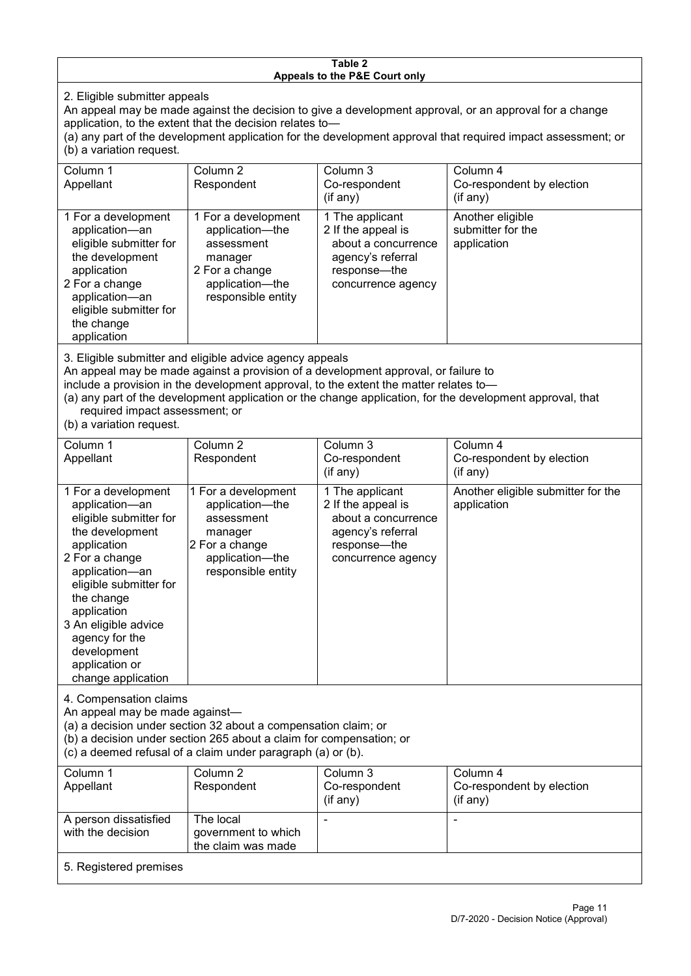#### **Table 2 Appeals to the P&E Court only**

2. Eligible submitter appeals

An appeal may be made against the decision to give a development approval, or an approval for a change application, to the extent that the decision relates to—

(a) any part of the development application for the development approval that required impact assessment; or (b) a variation request.

| Column 1                                                                                                                                                                                                                          | Column 2                                                                                                                   | Column 3                                                                                                                  | Column 4                                             |
|-----------------------------------------------------------------------------------------------------------------------------------------------------------------------------------------------------------------------------------|----------------------------------------------------------------------------------------------------------------------------|---------------------------------------------------------------------------------------------------------------------------|------------------------------------------------------|
| Appellant                                                                                                                                                                                                                         | Respondent                                                                                                                 | Co-respondent                                                                                                             | Co-respondent by election                            |
|                                                                                                                                                                                                                                   |                                                                                                                            | (if any)                                                                                                                  | (if any)                                             |
| 1 For a development<br>application-an<br>eligible submitter for<br>the development<br>application<br>2 For a change<br>application-an<br>eligible submitter for<br>the change<br>application                                      | 1 For a development<br>application-the<br>assessment<br>manager<br>2 For a change<br>application-the<br>responsible entity | 1 The applicant<br>2 If the appeal is<br>about a concurrence<br>agency's referral<br>response---the<br>concurrence agency | Another eligible<br>submitter for the<br>application |
| $\mathsf{A}$ . Figure 1. The contract of the contract of the contract of the contract of the contract of the contract of the contract of the contract of the contract of the contract of the contract of the contract of the cont |                                                                                                                            |                                                                                                                           |                                                      |

3. Eligible submitter and eligible advice agency appeals

An appeal may be made against a provision of a development approval, or failure to

include a provision in the development approval, to the extent the matter relates to—

(a) any part of the development application or the change application, for the development approval, that required impact assessment; or

(b) a variation request.

| Column 1<br>Appellant                                                                                                                                                                                                                                                                         | Column <sub>2</sub><br>Respondent                                                                                          | Column 3<br>Co-respondent<br>(if any)                                                                                   | Column 4<br>Co-respondent by election<br>(if any) |
|-----------------------------------------------------------------------------------------------------------------------------------------------------------------------------------------------------------------------------------------------------------------------------------------------|----------------------------------------------------------------------------------------------------------------------------|-------------------------------------------------------------------------------------------------------------------------|---------------------------------------------------|
| 1 For a development<br>application-an<br>eligible submitter for<br>the development<br>application<br>2 For a change<br>application-an<br>eligible submitter for<br>the change<br>application<br>3 An eligible advice<br>agency for the<br>development<br>application or<br>change application | 1 For a development<br>application-the<br>assessment<br>manager<br>2 For a change<br>application-the<br>responsible entity | 1 The applicant<br>2 If the appeal is<br>about a concurrence<br>agency's referral<br>response-the<br>concurrence agency | Another eligible submitter for the<br>application |
| 4. Compensation claims<br>An appeal may be made against-<br>(a) a decision under section 32 about a compensation claim; or<br>(b) a decision under section 265 about a claim for compensation; or<br>(c) a deemed refusal of a claim under paragraph (a) or (b).                              |                                                                                                                            |                                                                                                                         |                                                   |
| Column 1<br>Appellant                                                                                                                                                                                                                                                                         | Column <sub>2</sub><br>Respondent                                                                                          | Column 3<br>Co-respondent<br>(if any)                                                                                   | Column 4<br>Co-respondent by election<br>(if any) |
| A person dissatisfied<br>with the decision                                                                                                                                                                                                                                                    | The local<br>government to which<br>the claim was made                                                                     |                                                                                                                         |                                                   |
| 5. Registered premises                                                                                                                                                                                                                                                                        |                                                                                                                            |                                                                                                                         |                                                   |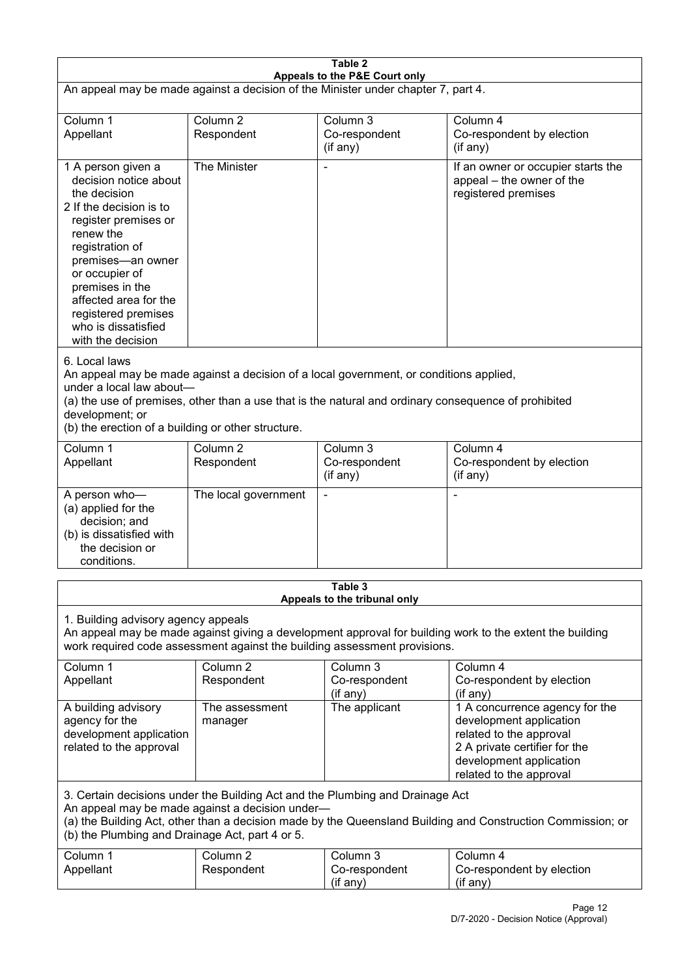| Table 2<br>Appeals to the P&E Court only                                                                                                                                                                                                                                                             |                                   |                                                                                                                                                                                                |                                                                                                                                                                             |  |
|------------------------------------------------------------------------------------------------------------------------------------------------------------------------------------------------------------------------------------------------------------------------------------------------------|-----------------------------------|------------------------------------------------------------------------------------------------------------------------------------------------------------------------------------------------|-----------------------------------------------------------------------------------------------------------------------------------------------------------------------------|--|
| An appeal may be made against a decision of the Minister under chapter 7, part 4.                                                                                                                                                                                                                    |                                   |                                                                                                                                                                                                |                                                                                                                                                                             |  |
| Column 1<br>Appellant                                                                                                                                                                                                                                                                                | Column <sub>2</sub><br>Respondent | Column 3<br>Co-respondent<br>(if any)                                                                                                                                                          | Column 4<br>Co-respondent by election<br>(if any)                                                                                                                           |  |
| 1 A person given a<br>decision notice about<br>the decision<br>2 If the decision is to<br>register premises or<br>renew the<br>registration of<br>premises-an owner<br>or occupier of<br>premises in the<br>affected area for the<br>registered premises<br>who is dissatisfied<br>with the decision | The Minister                      |                                                                                                                                                                                                | If an owner or occupier starts the<br>appeal - the owner of the<br>registered premises                                                                                      |  |
| 6. Local laws<br>under a local law about-<br>development; or<br>(b) the erection of a building or other structure.                                                                                                                                                                                   |                                   | An appeal may be made against a decision of a local government, or conditions applied,<br>(a) the use of premises, other than a use that is the natural and ordinary consequence of prohibited |                                                                                                                                                                             |  |
| Column 1<br>Appellant                                                                                                                                                                                                                                                                                | Column <sub>2</sub><br>Respondent | Column 3<br>Co-respondent<br>(if any)                                                                                                                                                          | Column 4<br>Co-respondent by election<br>(if any)                                                                                                                           |  |
| A person who-<br>(a) applied for the<br>decision; and<br>(b) is dissatisfied with<br>the decision or<br>conditions.                                                                                                                                                                                  | The local government              |                                                                                                                                                                                                |                                                                                                                                                                             |  |
|                                                                                                                                                                                                                                                                                                      |                                   | Table 3<br>Appeals to the tribunal only                                                                                                                                                        |                                                                                                                                                                             |  |
| 1. Building advisory agency appeals<br>An appeal may be made against giving a development approval for building work to the extent the building<br>work required code assessment against the building assessment provisions.                                                                         |                                   |                                                                                                                                                                                                |                                                                                                                                                                             |  |
| Column 1<br>Appellant                                                                                                                                                                                                                                                                                | Column <sub>2</sub><br>Respondent | Column 3<br>Co-respondent<br>(if any)                                                                                                                                                          | Column 4<br>Co-respondent by election<br>(if any)                                                                                                                           |  |
| A building advisory<br>agency for the<br>development application<br>related to the approval                                                                                                                                                                                                          | The assessment<br>manager         | The applicant                                                                                                                                                                                  | 1 A concurrence agency for the<br>development application<br>related to the approval<br>2 A private certifier for the<br>development application<br>related to the approval |  |
| 3. Certain decisions under the Building Act and the Plumbing and Drainage Act<br>An appeal may be made against a decision under-<br>(a) the Building Act, other than a decision made by the Queensland Building and Construction Commission; or<br>(b) the Plumbing and Drainage Act, part 4 or 5.   |                                   |                                                                                                                                                                                                |                                                                                                                                                                             |  |
| Column 1<br>Appellant                                                                                                                                                                                                                                                                                | Column <sub>2</sub><br>Respondent | Column 3<br>Co-respondent<br>(if any)                                                                                                                                                          | Column 4<br>Co-respondent by election<br>(if any)                                                                                                                           |  |